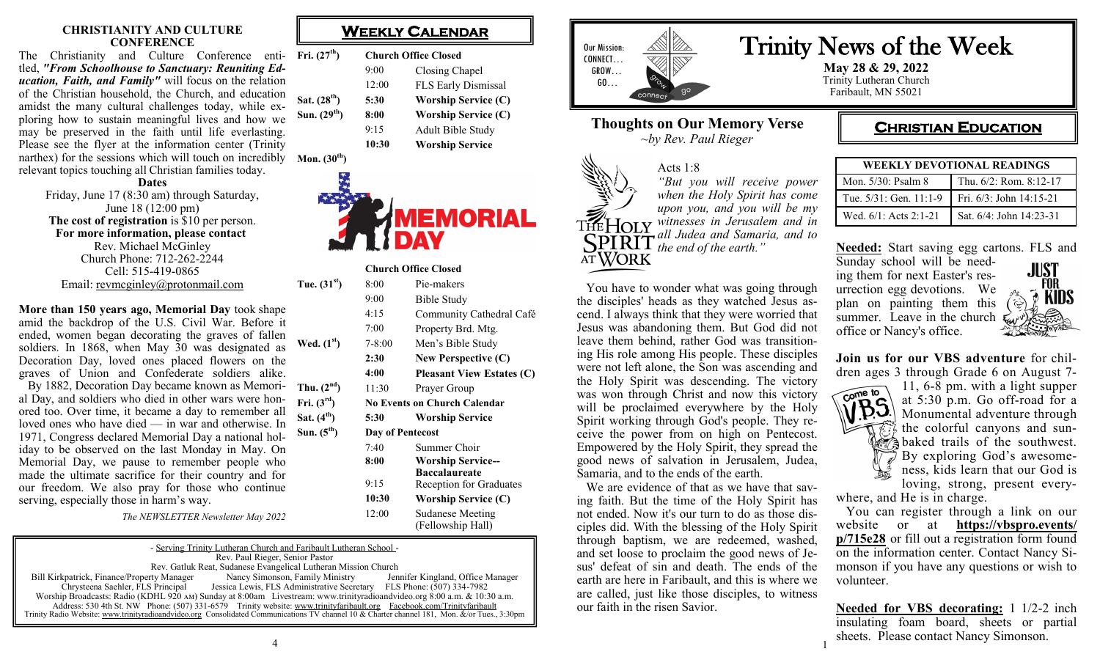#### **CHRISTIANITY AND CULTURE CONFERENCE**

The Christianity and Culture Conference enti-**Fri. (27th) Church Office Closed** tled, *"From Schoolhouse to Sanctuary: Reuniting Education, Faith, and Family"* will focus on the relation of the Christian household, the Church, and education amidst the many cultural challenges today, while exploring how to sustain meaningful lives and how we may be preserved in the faith until life everlasting. Please see the [flyer at the information center \(Trinity](https://mnsdistrict.us9.list-manage.com/track/click?u=b62e86201269bbd2aa204e5df&id=e2b02340e3&e=5fcef9f806)  [narthex\)](https://mnsdistrict.us9.list-manage.com/track/click?u=b62e86201269bbd2aa204e5df&id=e2b02340e3&e=5fcef9f806) for the sessions which will touch on incredibly **Mon.** (30<sup>th</sup>) relevant topics touching all Christian families today. **Sat.** (28<sup>th</sup>)  $Sun. (29<sup>th</sup>)$ 

#### **Dates**

Friday, June 17 (8:30 am) through Saturday, June 18 (12:00 pm) **The cost of registration** is \$10 per person. **For more information, please contact** Rev. Michael McGinley Church Phone: 712-262-2244 Cell: 515-419-0865 Email: [revmcginley@protonmail.com](mailto:revmcginley@protonmail.com)

**More than 150 years ago, Memorial Day** took shape amid the backdrop of the U.S. Civil War. Before it ended, women began decorating the graves of fallen soldiers. In 1868, when May 30 was designated as Decoration Day, loved ones placed flowers on the graves of Union and Confederate soldiers alike. By 1882, Decoration Day became known as Memori- Thu.  $(2^{nd})$  11:30 Prayer Group al Day, and soldiers who died in other wars were honored too. Over time, it became a day to remember all loved ones who have died — in war and otherwise. In 1971, Congress declared Memorial Day a national holiday to be observed on the last Monday in May. On Memorial Day, we pause to remember people who made the ultimate sacrifice for their country and for our freedom. We also pray for those who continue serving, especially those in harm's way. **Wed.**  $(1^s)$  $\text{Fri.} (3^{\text{rd}})$ **Sat.** (4<sup>th</sup>)  $Sun. (5<sup>th</sup>)$ 

*The NEWSLETTER Newsletter May 2022*

#### - Serving Trinity Lutheran Church and Faribault Lutheran School - Rev. Paul Rieger, Senior Pastor Rev. Gatluk Reat, Sudanese Evangelical Lutheran Mission Church<br>
rty Manager Manager Nancy Simonson, Family Ministry Jennifer Kingland, Office Manager Bill Kirkpatrick, Finance/Property Manager Nancy Simonson, Family Ministry Chrysteena Saehler, FLS Principal Jessica Lewis, FLS Administrative Secre Jessica Lewis, FLS Administrative Secretary FLS Phone: (507) 334-7982 Worship Broadcasts: Radio (KDHL 920 am) Sunday at 8:00am Livestream: www.trinityradioandvideo.org 8:00 a.m. & 10:30 a.m. Address: 530 4th St. NW Phone: (507) 331-6579 Trinity website: www.trinityfaribault.org Facebook.com/Trinityfaribault Trinity Radio Website: www.trinityradioandvideo.org Consolidated Communications TV channel 10 & Charter channel 181, Mon. &/or Tues., 3:30pm

|       | <b>Church Office Closed</b> |  |  |
|-------|-----------------------------|--|--|
| 9:00  | Closing Chapel              |  |  |
| 12:00 | FLS Early Dismissal         |  |  |
| 5:30  | <b>Worship Service (C</b>   |  |  |
| 8:00  | <b>Worship Service (C</b>   |  |  |
| 9:15  | Adult Bible Study           |  |  |
| 10:30 | <b>Worship Service</b>      |  |  |



#### **Church Office Closed**

| Tue. $(31st)$   | 8:00             | Pie-makers                                       |
|-----------------|------------------|--------------------------------------------------|
|                 | 9:00             | Bible Study                                      |
|                 | 4:15             | Community Cathedral Café                         |
|                 | 7:00             | Property Brd. Mtg.                               |
| Wed. $(1st)$    | 7-8:00           | Men's Bible Study                                |
|                 | 2:30             | New Perspective (C)                              |
|                 | 4:00             | <b>Pleasant View Estates (C)</b>                 |
| Thu. $(2nd)$    | 11:30            | Prayer Group                                     |
| Fri. $(3^{rd})$ |                  | <b>No Events on Church Calendar</b>              |
| Sat. $(4th)$    | 5:30             | <b>Worship Service</b>                           |
| Sun. $(5th)$    | Day of Pentecost |                                                  |
|                 | 7:40             | Summer Choir                                     |
|                 | 8:00             | <b>Worship Service--</b><br><b>Baccalaureate</b> |
|                 | 9:15             | <b>Reception for Graduates</b>                   |
|                 | 10:30            | <b>Worship Service (C)</b>                       |
|                 | 12:00            | <b>Sudanese Meeting</b><br>(Fellowship Hall)     |



## **Thoughts on Our Memory Verse** *~by Rev. Paul Rieger*

#### Acts 1:8 *"But you will receive power when the Holy Spirit has come upon you, and you will be my witnesses in Jerusalem and in*  THEHOLY *all Judea and Samaria, and to the end of the earth."* AT WORK

 You have to wonder what was going through the disciples' heads as they watched Jesus ascend. I always think that they were worried that Jesus was abandoning them. But God did not leave them behind, rather God was transitioning His role among His people. These disciples were not left alone, the Son was ascending and the Holy Spirit was descending. The victory was won through Christ and now this victory will be proclaimed everywhere by the Holy Spirit working through God's people. They receive the power from on high on Pentecost. Empowered by the Holy Spirit, they spread the good news of salvation in Jerusalem, Judea, Samaria, and to the ends of the earth.

 We are evidence of that as we have that saving faith. But the time of the Holy Spirit has not ended. Now it's our turn to do as those disciples did. With the blessing of the Holy Spirit through baptism, we are redeemed, washed, and set loose to proclaim the good news of Jesus' defeat of sin and death. The ends of the earth are here in Faribault, and this is where we are called, just like those disciples, to witness our faith in the risen Savior.

## Trinity News of the Week

**May 28 & 29, 2022** Trinity Lutheran Church Faribault, MN 55021

## **CHRISTIAN EDUCATION**

| <b>WEEKLY DEVOTIONAL READINGS</b> |                         |  |
|-----------------------------------|-------------------------|--|
| Mon. 5/30: Psalm 8                | Thu. 6/2: Rom. 8:12-17  |  |
| Tue. 5/31: Gen. 11:1-9            | Fri. 6/3: John 14:15-21 |  |
| Wed. 6/1: Acts 2:1-21             | Sat. 6/4: John 14:23-31 |  |

**Needed:** Start saving egg cartons. FLS and

Sunday school will be needing them for next Easter's resurrection egg devotions. We plan on painting them this summer. Leave in the church office or Nancy's office.



**Join us for our VBS adventure** for children ages 3 through Grade 6 on August 7-



1

11, 6-8 pm. with a light supper at 5:30 p.m. Go off-road for a Monumental adventure through the colorful canyons and suna baked trails of the southwest. By exploring God's awesomeness, kids learn that our God is loving, strong, present everywhere, and He is in charge.

 You can register through a link on our website or at **[https://vbspro.events/](https://vbspro.events/p/715e28) [p/715e28](https://vbspro.events/p/715e28)** or fill out a registration form found on the information center. Contact Nancy Simonson if you have any questions or wish to volunteer.

**Needed for VBS decorating:** 1 1/2-2 inch insulating foam board, sheets or partial sheets. Please contact Nancy Simonson.